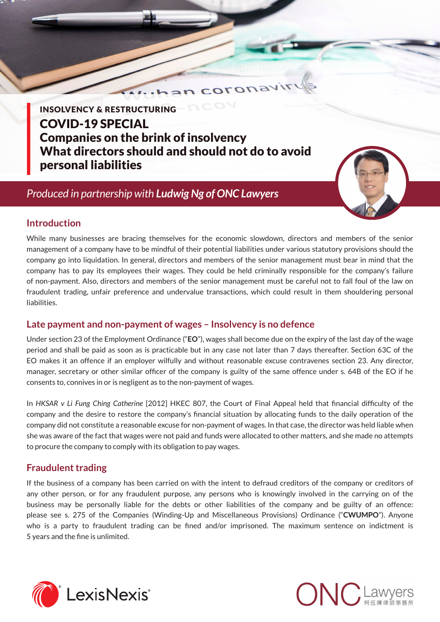INSOLVENCY & RESTRUCTURING COVID-19 SPECIAL Companies on the brink of insolvency What directors should and should not do to avoid personal liabilities

### *Produced in partnership with Ludwig Ng of ONC Lawyers*



#### **Introduction**

While many businesses are bracing themselves for the economic slowdown, directors and members of the senior management of a company have to be mindful of their potential liabilities under various statutory provisions should the company go into liquidation. In general, directors and members of the senior management must bear in mind that the company has to pay its employees their wages. They could be held criminally responsible for the company's failure of non-payment. Also, directors and members of the senior management must be careful not to fall foul of the law on fraudulent trading, unfair preference and undervalue transactions, which could result in them shouldering personal liabilities.

coronay

#### **Late payment and non-payment of wages – Insolvency is no defence**

Under section 23 of the Employment Ordinance ("**EO**"), wages shall become due on the expiry of the last day of the wage period and shall be paid as soon as is practicable but in any case not later than 7 days thereafter. Section 63C of the EO makes it an offence if an employer wilfully and without reasonable excuse contravenes section 23. Any director, manager, secretary or other similar officer of the company is guilty of the same offence under s. 64B of the EO if he consents to, connives in or is negligent as to the non-payment of wages.

In *HKSAR v Li Fung Ching Catherine* [2012] HKEC 807, the Court of Final Appeal held that financial difficulty of the company and the desire to restore the company's financial situation by allocating funds to the daily operation of the company did not constitute a reasonable excuse for non-payment of wages. In that case, the director was held liable when she was aware of the fact that wages were not paid and funds were allocated to other matters, and she made no attempts to procure the company to comply with its obligation to pay wages.

#### **Fraudulent trading**

If the business of a company has been carried on with the intent to defraud creditors of the company or creditors of any other person, or for any fraudulent purpose, any persons who is knowingly involved in the carrying on of the business may be personally liable for the debts or other liabilities of the company and be guilty of an offence: please see s. 275 of the Companies (Winding-Up and Miscellaneous Provisions) Ordinance ("**CWUMPO**"). Anyone who is a party to fraudulent trading can be fined and/or imprisoned. The maximum sentence on indictment is 5 years and the fine is unlimited.



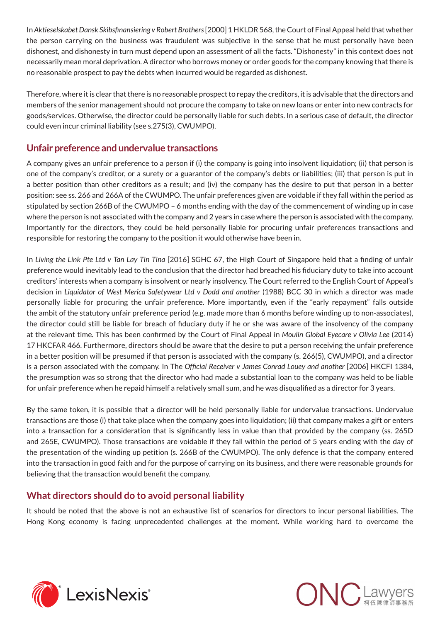In *Aktieselskabet Dansk Skibsfinansiering v Robert Brothers* [2000] 1 HKLDR 568, the Court of Final Appeal held that whether the person carrying on the business was fraudulent was subjective in the sense that he must personally have been dishonest, and dishonesty in turn must depend upon an assessment of all the facts. "Dishonesty" in this context does not necessarily mean moral deprivation. A director who borrows money or order goods for the company knowing that there is no reasonable prospect to pay the debts when incurred would be regarded as dishonest.

Therefore, where it is clear that there is no reasonable prospect to repay the creditors, it is advisable that the directors and members of the senior management should not procure the company to take on new loans or enter into new contracts for goods/services. Otherwise, the director could be personally liable for such debts. In a serious case of default, the director could even incur criminal liability (see s.275(3), CWUMPO).

#### **Unfair preference and undervalue transactions**

A company gives an unfair preference to a person if (i) the company is going into insolvent liquidation; (ii) that person is one of the company's creditor, or a surety or a guarantor of the company's debts or liabilities; (iii) that person is put in a better position than other creditors as a result; and (iv) the company has the desire to put that person in a better position: see ss. 266 and 266A of the CWUMPO. The unfair preferences given are voidable if they fall within the period as stipulated by section 266B of the CWUMPO – 6 months ending with the day of the commencement of winding up in case where the person is not associated with the company and 2 years in case where the person is associated with the company. Importantly for the directors, they could be held personally liable for procuring unfair preferences transactions and responsible for restoring the company to the position it would otherwise have been in.

In *Living the Link Pte Ltd v Tan Lay Tin Tina* [2016] SGHC 67, the High Court of Singapore held that a finding of unfair preference would inevitably lead to the conclusion that the director had breached his fiduciary duty to take into account creditors' interests when a company is insolvent or nearly insolvency. The Court referred to the English Court of Appeal's decision in *Liquidator of West Merica Safetywear Ltd v Dodd and another* (1988) BCC 30 in which a director was made personally liable for procuring the unfair preference. More importantly, even if the "early repayment" falls outside the ambit of the statutory unfair preference period (e.g. made more than 6 months before winding up to non-associates), the director could still be liable for breach of fiduciary duty if he or she was aware of the insolvency of the company at the relevant time. This has been confirmed by the Court of Final Appeal in *Moulin Global Eyecare v Olivia Lee* (2014) 17 HKCFAR 466. Furthermore, directors should be aware that the desire to put a person receiving the unfair preference in a better position will be presumed if that person is associated with the company (s. 266(5), CWUMPO), and a director is a person associated with the company. In The *Official Receiver v James Conrad Louey and another* [2006] HKCFI 1384, the presumption was so strong that the director who had made a substantial loan to the company was held to be liable for unfair preference when he repaid himself a relatively small sum, and he was disqualified as a director for 3 years.

By the same token, it is possible that a director will be held personally liable for undervalue transactions. Undervalue transactions are those (i) that take place when the company goes into liquidation; (ii) that company makes a gift or enters into a transaction for a consideration that is significantly less in value than that provided by the company (ss. 265D and 265E, CWUMPO). Those transactions are voidable if they fall within the period of 5 years ending with the day of the presentation of the winding up petition (s. 266B of the CWUMPO). The only defence is that the company entered into the transaction in good faith and for the purpose of carrying on its business, and there were reasonable grounds for believing that the transaction would benefit the company.

#### **What directors should do to avoid personal liability**

It should be noted that the above is not an exhaustive list of scenarios for directors to incur personal liabilities. The Hong Kong economy is facing unprecedented challenges at the moment. While working hard to overcome the